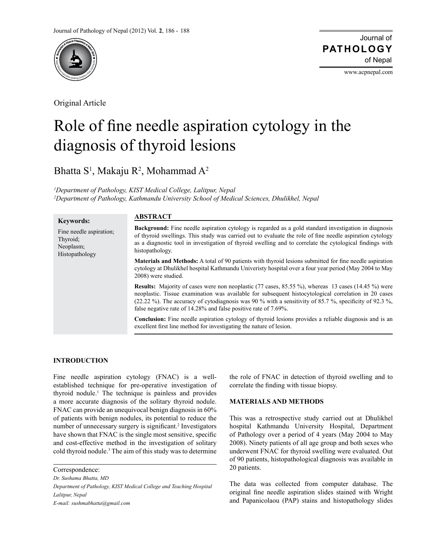

Original Article

Journal of of Nepal **PATHOLOGY**

www.acpnepal.com

# Role of fine needle aspiration cytology in the diagnosis of thyroid lesions

Bhatta  $S^1$ , Makaju R<sup>2</sup>, Mohammad A<sup>2</sup>

*1 Department of Pathology, KIST Medical College, Lalitpur, Nepal 2 Department of Pathology, Kathmandu University School of Medical Sciences, Dhulikhel, Nepal*

| <b>Keywords:</b>                                                   | <b>ABSTRACT</b>                                                                                                                                                                                                                                                                                                                                                                                 |
|--------------------------------------------------------------------|-------------------------------------------------------------------------------------------------------------------------------------------------------------------------------------------------------------------------------------------------------------------------------------------------------------------------------------------------------------------------------------------------|
| Fine needle aspiration;<br>Thyroid;<br>Neoplasm;<br>Histopathology | <b>Background:</b> Fine needle aspiration cytology is regarded as a gold standard investigation in diagnosis<br>of thyroid swellings. This study was carried out to evaluate the role of fine needle aspiration cytology<br>as a diagnostic tool in investigation of thyroid swelling and to correlate the cytological findings with<br>histopathology.                                         |
|                                                                    | <b>Materials and Methods:</b> A total of 90 patients with thyroid lesions submitted for fine needle aspiration<br>cytology at Dhulikhel hospital Kathmandu Univeristy hospital over a four year period (May 2004 to May<br>2008) were studied.                                                                                                                                                  |
|                                                                    | <b>Results:</b> Majority of cases were non neoplastic (77 cases, 85.55 %), whereas 13 cases (14.45 %) were<br>neoplastic. Tissue examination was available for subsequent histocytological correlation in 20 cases<br>(22.22 %). The accuracy of cytodiagnosis was 90 % with a sensitivity of 85.7 %, specificity of 92.3 %,<br>false negative rate of 14.28% and false positive rate of 7.69%. |
|                                                                    | <b>Conclusion:</b> Fine needle aspiration cytology of thyroid lesions provides a reliable diagnosis and is an<br>excellent first line method for investigating the nature of lesion.                                                                                                                                                                                                            |

# **INTRODUCTION**

Fine needle aspiration cytology (FNAC) is a wellestablished technique for pre-operative investigation of thyroid nodule.1 The technique is painless and provides a more accurate diagnosis of the solitary thyroid nodule. FNAC can provide an unequivocal benign diagnosis in 60% of patients with benign nodules, its potential to reduce the number of unnecessary surgery is significant.<sup>2</sup> Investigators have shown that FNAC is the single most sensitive, specific and cost-effective method in the investigation of solitary cold thyroid nodule.<sup>3</sup> The aim of this study was to determine

*Dr. Sushama Bhatta, MD*

*Department of Pathology, KIST Medical College and Teaching Hospital Lalitpur, Nepal*

*E-mail: sushmabhatta@gmail.com*

the role of FNAC in detection of thyroid swelling and to correlate the finding with tissue biopsy.

# **MATERIALS AND METHODS**

This was a retrospective study carried out at Dhulikhel hospital Kathmandu University Hospital, Department of Pathology over a period of 4 years (May 2004 to May 2008). Ninety patients of all age group and both sexes who underwent FNAC for thyroid swelling were evaluated. Out of 90 patients, histopathological diagnosis was available in 20 patients.

The data was collected from computer database. The original fine needle aspiration slides stained with Wright and Papanicolaou (PAP) stains and histopathology slides

Correspondence: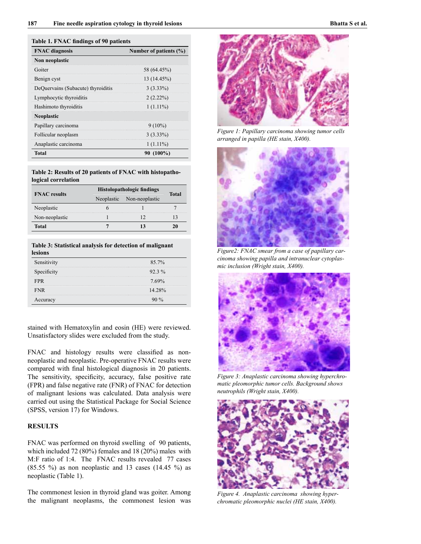## **Table 1. FNAC findings of 90 patients**

| <b>FNAC</b> diagnosis              | Number of patients $(\% )$ |
|------------------------------------|----------------------------|
| Non neoplastic                     |                            |
| Goiter                             | 58 (64.45%)                |
| Benign cyst                        | 13 (14.45%)                |
| DeQuervains (Subacute) thyroiditis | $3(3.33\%)$                |
| Lymphocytic thyroiditis            | $2(2.22\%)$                |
| Hashimoto thyroiditis              | $1(1.11\%)$                |
| <b>Neoplastic</b>                  |                            |
| Papillary carcinoma                | $9(10\%)$                  |
| Follicular neoplasm                | $3(3.33\%)$                |
| Anaplastic carcinoma               | $1(1.11\%)$                |
| Total                              | $(100\%)$                  |

### **Table 2: Results of 20 patients of FNAC with histopathological correlation**

| <b>FNAC</b> results | <b>Histolopathologic findings</b> |                           |       |
|---------------------|-----------------------------------|---------------------------|-------|
|                     |                                   | Neoplastic Non-neoplastic | Total |
| Neoplastic          |                                   |                           |       |
| Non-neoplastic      |                                   |                           |       |
| Total               |                                   |                           |       |

## **Table 3: Statistical analysis for detection of malignant lesions**

| Sensitivity | $85.7\%$ |
|-------------|----------|
| Specificity | $92.3\%$ |
| FPR         | $7.69\%$ |
| <b>FNR</b>  | 14 28%   |
| Accuracy    |          |

stained with Hematoxylin and eosin (HE) were reviewed. Unsatisfactory slides were excluded from the study.

FNAC and histology results were classified as nonneoplastic and neoplastic. Pre-operative FNAC results were compared with final histological diagnosis in 20 patients. The sensitivity, specificity, accuracy, false positive rate (FPR) and false negative rate (FNR) of FNAC for detection of malignant lesions was calculated. Data analysis were carried out using the Statistical Package for Social Science (SPSS, version 17) for Windows.

# **RESULTS**

FNAC was performed on thyroid swelling of 90 patients, which included 72 (80%) females and 18 (20%) males with M:F ratio of 1:4. The FNAC results revealed 77 cases  $(85.55 \%)$  as non neoplastic and 13 cases  $(14.45 \%)$  as neoplastic (Table 1).

The commonest lesion in thyroid gland was goiter. Among the malignant neoplasms, the commonest lesion was



*Figure 1: Papillary carcinoma showing tumor cells arranged in papilla (HE stain, X400).*



*Figure2: FNAC smear from a case of papillary carcinoma showing papilla and intranuclear cytoplasmic inclusion (Wright stain, X400).*



*Figure 3: Anaplastic carcinoma showing hyperchromatic pleomorphic tumor cells. Background shows neutrophils (Wright stain, X400).*



*Figure 4. Anaplastic carcinoma showing hyperchromatic pleomorphic nuclei (HE stain, X400).*